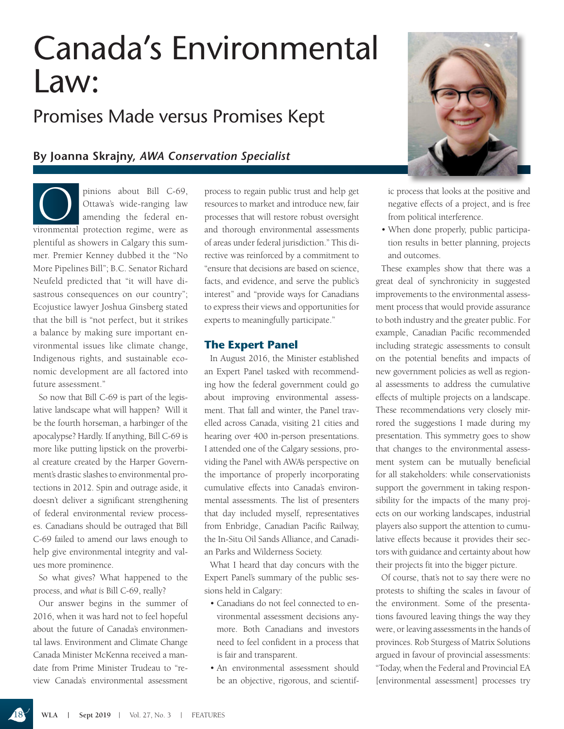# Canada's Environmental Law:

## Promises Made versus Promises Kept

### **By Joanna Skrajny,** *AWA Conservation Specialist*

pinions about Bill C-69,<br>Ottawa's wide-ranging law<br>amending the federal en-Ottawa's wide-ranging law amending the federal environmental protection regime, were as plentiful as showers in Calgary this summer. Premier Kenney dubbed it the "No More Pipelines Bill"; B.C. Senator Richard Neufeld predicted that "it will have disastrous consequences on our country"; Ecojustice lawyer Joshua Ginsberg stated that the bill is "not perfect, but it strikes a balance by making sure important environmental issues like climate change, Indigenous rights, and sustainable economic development are all factored into future assessment."

So now that Bill C-69 is part of the legislative landscape what will happen? Will it be the fourth horseman, a harbinger of the apocalypse? Hardly. If anything, Bill C-69 is more like putting lipstick on the proverbial creature created by the Harper Government's drastic slashes to environmental protections in 2012. Spin and outrage aside, it doesn't deliver a significant strengthening of federal environmental review processes. Canadians should be outraged that Bill C-69 failed to amend our laws enough to help give environmental integrity and values more prominence.

So what gives? What happened to the process, and *what is* Bill C-69, really?

Our answer begins in the summer of 2016, when it was hard not to feel hopeful about the future of Canada's environmental laws. Environment and Climate Change Canada Minister McKenna received a mandate from Prime Minister Trudeau to "review Canada's environmental assessment

process to regain public trust and help get resources to market and introduce new, fair processes that will restore robust oversight and thorough environmental assessments of areas under federal jurisdiction." This directive was reinforced by a commitment to "ensure that decisions are based on science, facts, and evidence, and serve the public's interest" and "provide ways for Canadians to express their views and opportunities for experts to meaningfully participate."

#### **The Expert Panel**

In August 2016, the Minister established an Expert Panel tasked with recommending how the federal government could go about improving environmental assessment. That fall and winter, the Panel travelled across Canada, visiting 21 cities and hearing over 400 in-person presentations. I attended one of the Calgary sessions, providing the Panel with AWA's perspective on the importance of properly incorporating cumulative effects into Canada's environmental assessments. The list of presenters that day included myself, representatives from Enbridge, Canadian Pacific Railway, the In-Situ Oil Sands Alliance, and Canadian Parks and Wilderness Society.

What I heard that day concurs with the Expert Panel's summary of the public sessions held in Calgary:

- Canadians do not feel connected to environmental assessment decisions anymore. Both Canadians and investors need to feel confident in a process that is fair and transparent.
- An environmental assessment should be an objective, rigorous, and scientif-



ic process that looks at the positive and negative effects of a project, and is free from political interference.

• When done properly, public participation results in better planning, projects and outcomes.

These examples show that there was a great deal of synchronicity in suggested improvements to the environmental assessment process that would provide assurance to both industry and the greater public. For example, Canadian Pacific recommended including strategic assessments to consult on the potential benefits and impacts of new government policies as well as regional assessments to address the cumulative effects of multiple projects on a landscape. These recommendations very closely mirrored the suggestions I made during my presentation. This symmetry goes to show that changes to the environmental assessment system can be mutually beneficial for all stakeholders: while conservationists support the government in taking responsibility for the impacts of the many projects on our working landscapes, industrial players also support the attention to cumulative effects because it provides their sectors with guidance and certainty about how their projects fit into the bigger picture.

Of course, that's not to say there were no protests to shifting the scales in favour of the environment. Some of the presentations favoured leaving things the way they were, or leaving assessments in the hands of provinces. Rob Sturgess of Matrix Solutions argued in favour of provincial assessments: "Today, when the Federal and Provincial EA [environmental assessment] processes try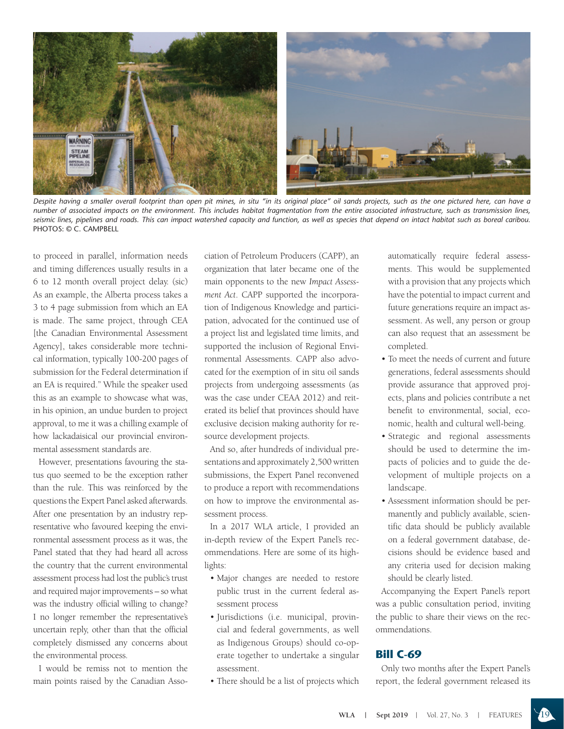

*Despite having a smaller overall footprint than open pit mines, in situ "in its original place" oil sands projects, such as the one pictured here, can have a number of associated impacts on the environment. This includes habitat fragmentation from the entire associated infrastructure, such as transmission lines, seismic lines, pipelines and roads. This can impact watershed capacity and function, as well as species that depend on intact habitat such as boreal caribou.*  PHOTOS: © C. CAMPBELL

to proceed in parallel, information needs and timing differences usually results in a 6 to 12 month overall project delay. (sic) As an example, the Alberta process takes a 3 to 4 page submission from which an EA is made. The same project, through CEA [the Canadian Environmental Assessment Agency], takes considerable more technical information, typically 100-200 pages of submission for the Federal determination if an EA is required." While the speaker used this as an example to showcase what was, in his opinion, an undue burden to project approval, to me it was a chilling example of how lackadaisical our provincial environmental assessment standards are.

However, presentations favouring the status quo seemed to be the exception rather than the rule. This was reinforced by the questions the Expert Panel asked afterwards. After one presentation by an industry representative who favoured keeping the environmental assessment process as it was, the Panel stated that they had heard all across the country that the current environmental assessment process had lost the public's trust and required major improvements – so what was the industry official willing to change? I no longer remember the representative's uncertain reply, other than that the official completely dismissed any concerns about the environmental process.

I would be remiss not to mention the main points raised by the Canadian Association of Petroleum Producers (CAPP), an organization that later became one of the main opponents to the new *Impact Assessment Act*. CAPP supported the incorporation of Indigenous Knowledge and participation, advocated for the continued use of a project list and legislated time limits, and supported the inclusion of Regional Environmental Assessments. CAPP also advocated for the exemption of in situ oil sands projects from undergoing assessments (as was the case under CEAA 2012) and reiterated its belief that provinces should have exclusive decision making authority for resource development projects.

And so, after hundreds of individual presentations and approximately 2,500 written submissions, the Expert Panel reconvened to produce a report with recommendations on how to improve the environmental assessment process.

In a 2017 WLA article, I provided an in-depth review of the Expert Panel's recommendations. Here are some of its highlights:

- Major changes are needed to restore public trust in the current federal assessment process
- Jurisdictions (i.e. municipal, provincial and federal governments, as well as Indigenous Groups) should co-operate together to undertake a singular assessment.
- There should be a list of projects which

automatically require federal assessments. This would be supplemented with a provision that any projects which have the potential to impact current and future generations require an impact assessment. As well, any person or group can also request that an assessment be completed.

- To meet the needs of current and future generations, federal assessments should provide assurance that approved projects, plans and policies contribute a net benefit to environmental, social, economic, health and cultural well-being.
- Strategic and regional assessments should be used to determine the impacts of policies and to guide the development of multiple projects on a landscape.
- Assessment information should be permanently and publicly available, scientific data should be publicly available on a federal government database, decisions should be evidence based and any criteria used for decision making should be clearly listed.

Accompanying the Expert Panel's report was a public consultation period, inviting the public to share their views on the recommendations.

#### **Bill C-69**

Only two months after the Expert Panel's report, the federal government released its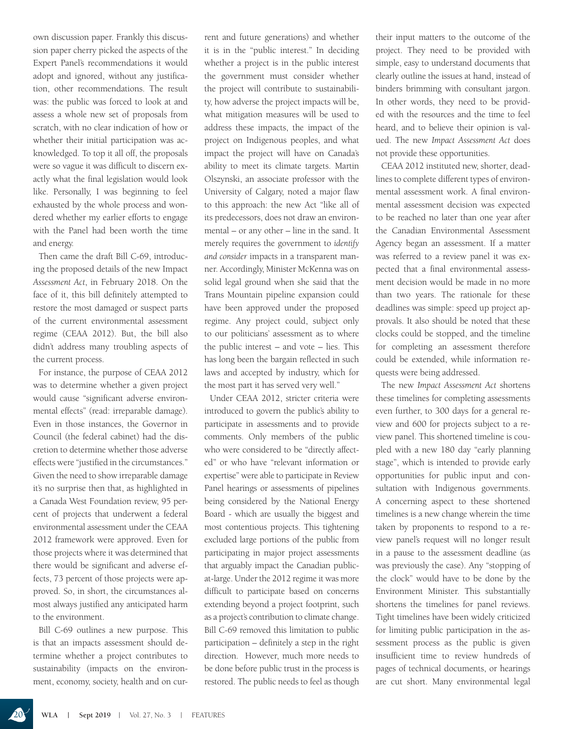own discussion paper. Frankly this discussion paper cherry picked the aspects of the Expert Panel's recommendations it would adopt and ignored, without any justification, other recommendations. The result was: the public was forced to look at and assess a whole new set of proposals from scratch, with no clear indication of how or whether their initial participation was acknowledged. To top it all off, the proposals were so vague it was difficult to discern exactly what the final legislation would look like. Personally, I was beginning to feel exhausted by the whole process and wondered whether my earlier efforts to engage with the Panel had been worth the time and energy.

Then came the draft Bill C-69, introducing the proposed details of the new Impact *Assessment Act*, in February 2018. On the face of it, this bill definitely attempted to restore the most damaged or suspect parts of the current environmental assessment regime (CEAA 2012). But, the bill also didn't address many troubling aspects of the current process.

For instance, the purpose of CEAA 2012 was to determine whether a given project would cause "significant adverse environmental effects" (read: irreparable damage). Even in those instances, the Governor in Council (the federal cabinet) had the discretion to determine whether those adverse effects were "justified in the circumstances." Given the need to show irreparable damage it's no surprise then that, as highlighted in a Canada West Foundation review, 95 percent of projects that underwent a federal environmental assessment under the CEAA 2012 framework were approved. Even for those projects where it was determined that there would be significant and adverse effects, 73 percent of those projects were approved. So, in short, the circumstances almost always justified any anticipated harm to the environment.

Bill C-69 outlines a new purpose. This is that an impacts assessment should determine whether a project contributes to sustainability (impacts on the environment, economy, society, health and on cur-

rent and future generations) and whether it is in the "public interest." In deciding whether a project is in the public interest the government must consider whether the project will contribute to sustainability, how adverse the project impacts will be, what mitigation measures will be used to address these impacts, the impact of the project on Indigenous peoples, and what impact the project will have on Canada's ability to meet its climate targets. Martin Olszynski, an associate professor with the University of Calgary, noted a major flaw to this approach: the new Act "like all of its predecessors, does not draw an environmental – or any other – line in the sand. It merely requires the government to *identify and consider* impacts in a transparent manner. Accordingly, Minister McKenna was on solid legal ground when she said that the Trans Mountain pipeline expansion could have been approved under the proposed regime. Any project could, subject only to our politicians' assessment as to where the public interest – and vote – lies. This has long been the bargain reflected in such laws and accepted by industry, which for the most part it has served very well."

Under CEAA 2012, stricter criteria were introduced to govern the public's ability to participate in assessments and to provide comments. Only members of the public who were considered to be "directly affected" or who have "relevant information or expertise" were able to participate in Review Panel hearings or assessments of pipelines being considered by the National Energy Board - which are usually the biggest and most contentious projects. This tightening excluded large portions of the public from participating in major project assessments that arguably impact the Canadian publicat-large. Under the 2012 regime it was more difficult to participate based on concerns extending beyond a project footprint, such as a project's contribution to climate change. Bill C-69 removed this limitation to public participation – definitely a step in the right direction. However, much more needs to be done before public trust in the process is restored. The public needs to feel as though their input matters to the outcome of the project. They need to be provided with simple, easy to understand documents that clearly outline the issues at hand, instead of binders brimming with consultant jargon. In other words, they need to be provided with the resources and the time to feel heard, and to believe their opinion is valued. The new *Impact Assessment Act* does not provide these opportunities.

CEAA 2012 instituted new, shorter, deadlines to complete different types of environmental assessment work. A final environmental assessment decision was expected to be reached no later than one year after the Canadian Environmental Assessment Agency began an assessment. If a matter was referred to a review panel it was expected that a final environmental assessment decision would be made in no more than two years. The rationale for these deadlines was simple: speed up project approvals. It also should be noted that these clocks could be stopped, and the timeline for completing an assessment therefore could be extended, while information requests were being addressed.

The new *Impact Assessment Act* shortens these timelines for completing assessments even further, to 300 days for a general review and 600 for projects subject to a review panel. This shortened timeline is coupled with a new 180 day "early planning stage", which is intended to provide early opportunities for public input and consultation with Indigenous governments. A concerning aspect to these shortened timelines is a new change wherein the time taken by proponents to respond to a review panel's request will no longer result in a pause to the assessment deadline (as was previously the case). Any "stopping of the clock" would have to be done by the Environment Minister. This substantially shortens the timelines for panel reviews. Tight timelines have been widely criticized for limiting public participation in the assessment process as the public is given insufficient time to review hundreds of pages of technical documents, or hearings are cut short. Many environmental legal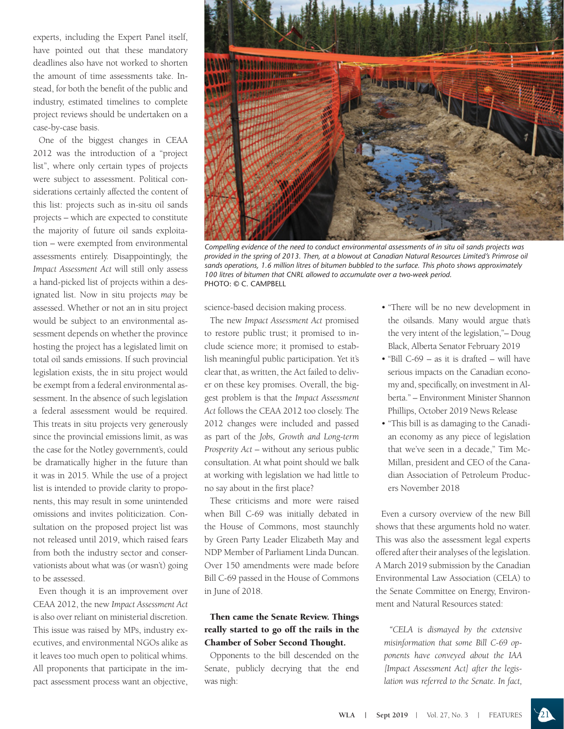experts, including the Expert Panel itself, have pointed out that these mandatory deadlines also have not worked to shorten the amount of time assessments take. Instead, for both the benefit of the public and industry, estimated timelines to complete project reviews should be undertaken on a case-by-case basis.

One of the biggest changes in CEAA 2012 was the introduction of a "project list", where only certain types of projects were subject to assessment. Political considerations certainly affected the content of this list: projects such as in-situ oil sands projects – which are expected to constitute the majority of future oil sands exploitation – were exempted from environmental assessments entirely. Disappointingly, the *Impact Assessment Act* will still only assess a hand-picked list of projects within a designated list. Now in situ projects *may* be assessed. Whether or not an in situ project would be subject to an environmental assessment depends on whether the province hosting the project has a legislated limit on total oil sands emissions. If such provincial legislation exists, the in situ project would be exempt from a federal environmental assessment. In the absence of such legislation a federal assessment would be required. This treats in situ projects very generously since the provincial emissions limit, as was the case for the Notley government's, could be dramatically higher in the future than it was in 2015. While the use of a project list is intended to provide clarity to proponents, this may result in some unintended omissions and invites politicization. Consultation on the proposed project list was not released until 2019, which raised fears from both the industry sector and conservationists about what was (or wasn't) going to be assessed.

Even though it is an improvement over CEAA 2012, the new *Impact Assessment Act* is also over reliant on ministerial discretion. This issue was raised by MPs, industry executives, and environmental NGOs alike as it leaves too much open to political whims. All proponents that participate in the impact assessment process want an objective,



*Compelling evidence of the need to conduct environmental assessments of in situ oil sands projects was provided in the spring of 2013. Then, at a blowout at Canadian Natural Resources Limited's Primrose oil*  sands operations, 1.6 million litres of bitumen bubbled to the surface. This photo shows approximately *100 litres of bitumen that CNRL allowed to accumulate over a two-week period.*  PHOTO: © C. CAMPBELL

science-based decision making process.

The new *Impact Assessment Act* promised to restore public trust; it promised to include science more; it promised to establish meaningful public participation. Yet it's clear that, as written, the Act failed to deliver on these key promises. Overall, the biggest problem is that the *Impact Assessment Act* follows the CEAA 2012 too closely. The 2012 changes were included and passed as part of the *Jobs, Growth and Long-term Prosperity Act* – without any serious public consultation. At what point should we balk at working with legislation we had little to no say about in the first place?

These criticisms and more were raised when Bill C-69 was initially debated in the House of Commons, most staunchly by Green Party Leader Elizabeth May and NDP Member of Parliament Linda Duncan. Over 150 amendments were made before Bill C-69 passed in the House of Commons in June of 2018.

#### Then came the Senate Review. Things really started to go off the rails in the Chamber of Sober Second Thought.

Opponents to the bill descended on the Senate, publicly decrying that the end was nigh:

- "There will be no new development in the oilsands. Many would argue that's the very intent of the legislation,"– Doug Black, Alberta Senator February 2019
- "Bill C-69 as it is drafted will have serious impacts on the Canadian economy and, specifically, on investment in Alberta." – Environment Minister Shannon Phillips, October 2019 News Release
- "This bill is as damaging to the Canadian economy as any piece of legislation that we've seen in a decade," Tim Mc-Millan, president and CEO of the Canadian Association of Petroleum Producers November 2018

Even a cursory overview of the new Bill shows that these arguments hold no water. This was also the assessment legal experts offered after their analyses of the legislation. A March 2019 submission by the Canadian Environmental Law Association (CELA) to the Senate Committee on Energy, Environment and Natural Resources stated:

*"CELA is dismayed by the extensive misinformation that some Bill C-69 opponents have conveyed about the IAA [Impact Assessment Act] after the legislation was referred to the Senate. In fact,*